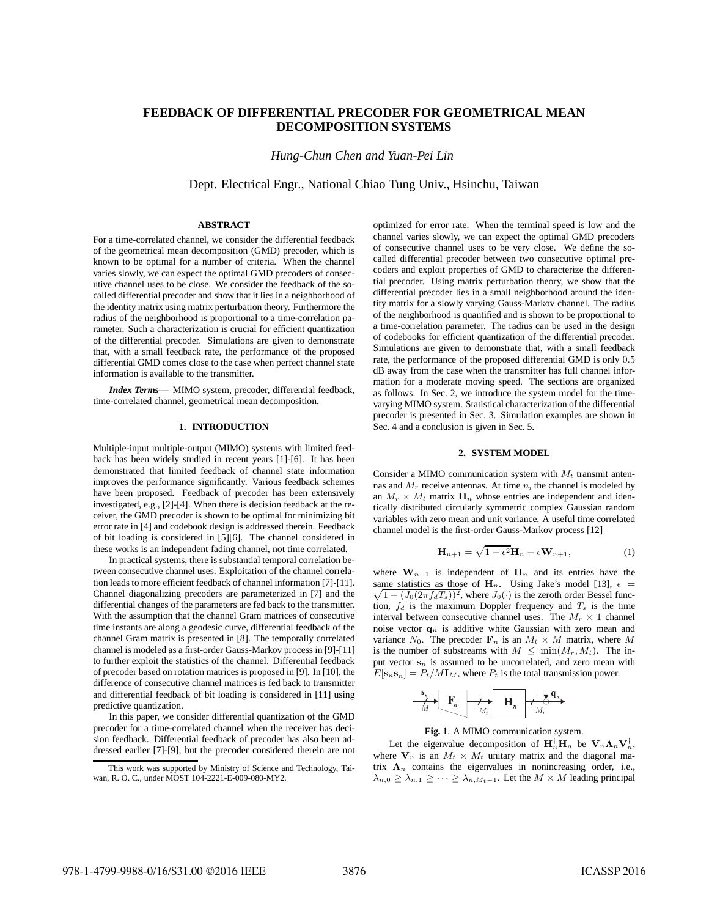# **FEEDBACK OF DIFFERENTIAL PRECODER FOR GEOMETRICAL MEAN DECOMPOSITION SYSTEMS**

*Hung-Chun Chen and Yuan-Pei Lin*

Dept. Electrical Engr., National Chiao Tung Univ., Hsinchu, Taiwan

### **ABSTRACT**

For a time-correlated channel, we consider the differential feedback of the geometrical mean decomposition (GMD) precoder, which is known to be optimal for a number of criteria. When the channel varies slowly, we can expect the optimal GMD precoders of consecutive channel uses to be close. We consider the feedback of the socalled differential precoder and show that it lies in a neighborhood of the identity matrix using matrix perturbation theory. Furthermore the radius of the neighborhood is proportional to a time-correlation parameter. Such a characterization is crucial for efficient quantization of the differential precoder. Simulations are given to demonstrate that, with a small feedback rate, the performance of the proposed differential GMD comes close to the case when perfect channel state information is available to the transmitter.

*Index Terms***—** MIMO system, precoder, differential feedback, time-correlated channel, geometrical mean decomposition.

### **1. INTRODUCTION**

Multiple-input multiple-output (MIMO) systems with limited feedback has been widely studied in recent years [1]-[6]. It has been demonstrated that limited feedback of channel state information improves the performance significantly. Various feedback schemes have been proposed. Feedback of precoder has been extensively investigated, e.g., [2]-[4]. When there is decision feedback at the receiver, the GMD precoder is shown to be optimal for minimizing bit error rate in [4] and codebook design is addressed therein. Feedback of bit loading is considered in [5][6]. The channel considered in these works is an independent fading channel, not time correlated.

In practical systems, there is substantial temporal correlation between consecutive channel uses. Exploitation of the channel correlation leads to more efficient feedback of channel information [7]-[11]. Channel diagonalizing precoders are parameterized in [7] and the differential changes of the parameters are fed back to the transmitter. With the assumption that the channel Gram matrices of consecutive time instants are along a geodesic curve, differential feedback of the channel Gram matrix is presented in [8]. The temporally correlated channel is modeled as a first-order Gauss-Markov process in [9]-[11] to further exploit the statistics of the channel. Differential feedback of precoder based on rotation matrices is proposed in [9]. In [10], the difference of consecutive channel matrices is fed back to transmitter and differential feedback of bit loading is considered in [11] using predictive quantization.

In this paper, we consider differential quantization of the GMD precoder for a time-correlated channel when the receiver has decision feedback. Differential feedback of precoder has also been addressed earlier [7]-[9], but the precoder considered therein are not optimized for error rate. When the terminal speed is low and the channel varies slowly, we can expect the optimal GMD precoders of consecutive channel uses to be very close. We define the socalled differential precoder between two consecutive optimal precoders and exploit properties of GMD to characterize the differential precoder. Using matrix perturbation theory, we show that the differential precoder lies in a small neighborhood around the identity matrix for a slowly varying Gauss-Markov channel. The radius of the neighborhood is quantified and is shown to be proportional to a time-correlation parameter. The radius can be used in the design of codebooks for efficient quantization of the differential precoder. Simulations are given to demonstrate that, with a small feedback rate, the performance of the proposed differential GMD is only 0.5 dB away from the case when the transmitter has full channel information for a moderate moving speed. The sections are organized as follows. In Sec. 2, we introduce the system model for the timevarying MIMO system. Statistical characterization of the differential precoder is presented in Sec. 3. Simulation examples are shown in Sec. 4 and a conclusion is given in Sec. 5.

# **2. SYSTEM MODEL**

Consider a MIMO communication system with  $M_t$  transmit antennas and  $M_r$  receive antennas. At time n, the channel is modeled by an  $M_r \times M_t$  matrix  $\mathbf{H}_n$  whose entries are independent and identically distributed circularly symmetric complex Gaussian random variables with zero mean and unit variance. A useful time correlated channel model is the first-order Gauss-Markov process [12]

$$
\mathbf{H}_{n+1} = \sqrt{1 - \epsilon^2} \mathbf{H}_n + \epsilon \mathbf{W}_{n+1},\tag{1}
$$

where  $\mathbf{W}_{n+1}$  is independent of  $\mathbf{H}_n$  and its entries have the same statistics as those of  $H_n$ . Using Jake's model [13],  $\epsilon$  =  $\sqrt{1 - (J_0(2\pi f_dT_s))^2}$ , where  $J_0(\cdot)$  is the zeroth order Bessel function,  $f_d$  is the maximum Doppler frequency and  $T_s$  is the time interval between consecutive channel uses. The  $M_r \times 1$  channel noise vector  $q_n$  is additive white Gaussian with zero mean and variance  $N_0$ . The precoder  $\mathbf{F}_n$  is an  $M_t \times M$  matrix, where M is the number of substreams with  $M \n\leq \min(M_r, M_t)$ . The input vector  $s_n$  is assumed to be uncorrelated, and zero mean with  $E[\mathbf{s}_n \mathbf{s}_n^{\dagger}] = P_t / M \mathbf{I}_M$ , where  $P_t$  is the total transmission power.



**Fig. 1**. A MIMO communication system.

Let the eigenvalue decomposition of  $\mathbf{H}_n^{\dagger} \mathbf{H}_n$  be  $\mathbf{V}_n \Lambda_n \mathbf{V}_n^{\dagger}$ , where  $V_n$  is an  $M_t \times M_t$  unitary matrix and the diagonal matrix  $\Lambda_n$  contains the eigenvalues in nonincreasing order, i.e.,  $\lambda_{n,0} \geq \lambda_{n,1} \geq \cdots \geq \lambda_{n,M_t-1}$ . Let the  $M \times M$  leading principal

This work was supported by Ministry of Science and Technology, Taiwan, R. O. C., under MOST 104-2221-E-009-080-MY2.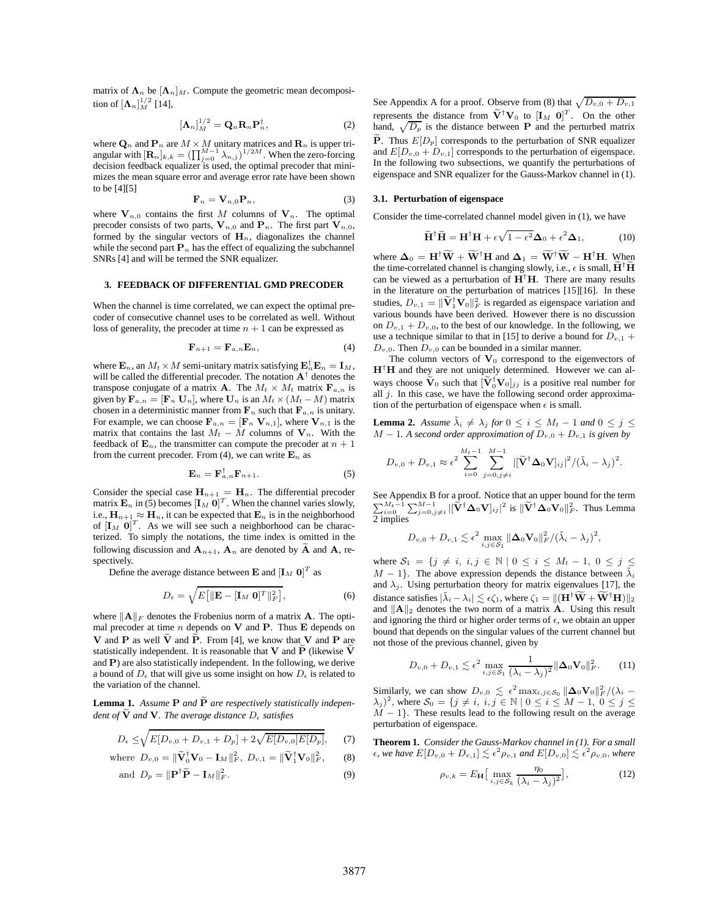matrix of  $\Lambda_n$  be  $[\Lambda_n]_M$ . Compute the geometric mean decomposition of  $[\mathbf{\Lambda}_n]_M^{1/2}$  [14],

$$
\left[\mathbf{\Lambda}_n\right]_M^{1/2} = \mathbf{Q}_n \mathbf{R}_n \mathbf{P}_n^{\dagger},\tag{2}
$$

where  $\mathbf{Q}_n$  and  $\mathbf{P}_n$  are  $M \times M$  unitary matrices and  $\mathbf{R}_n$  is upper triangular with  $[\mathbf{R}_n]_{k,k} = (\prod_{j=0}^{M-1} \lambda_{n,j})^{1/2M}$ . When the zero-forcing decision feedback equalizer is used, the optimal precoder that minimizes the mean square error and average error rate have been shown to be [4][5]

$$
\mathbf{F}_n = \mathbf{V}_{n,0} \mathbf{P}_n, \tag{3}
$$

where  $V_{n,0}$  contains the first M columns of  $V_n$ . The optimal precoder consists of two parts,  $V_{n,0}$  and  $P_n$ . The first part  $V_{n,0}$ , formed by the singular vectors of  $H_n$ , diagonalizes the channel while the second part  $P_n$  has the effect of equalizing the subchannel SNRs [4] and will be termed the SNR equalizer.

# **3. FEEDBACK OF DIFFERENTIAL GMD PRECODER**

When the channel is time correlated, we can expect the optimal precoder of consecutive channel uses to be correlated as well. Without loss of generality, the precoder at time  $n + 1$  can be expressed as

$$
\mathbf{F}_{n+1} = \mathbf{F}_{a,n} \mathbf{E}_n,\tag{4}
$$

where  $\mathbf{E}_n$ , an  $M_t \times M$  semi-unitary matrix satisfying  $\mathbf{E}_n^{\dagger} \mathbf{E}_n = \mathbf{I}_M$ , will be called the differential precoder. The notation  $A^{\dagger}$  denotes the transpose conjugate of a matrix **A**. The  $M_t \times M_t$  matrix  $\mathbf{F}_{a,n}$  is given by  $\mathbf{F}_{a,n} = [\mathbf{F}_n \mathbf{U}_n]$ , where  $\mathbf{U}_n$  is an  $M_t \times (M_t - M)$  matrix chosen in a deterministic manner from  $\mathbf{F}_n$  such that  $\mathbf{F}_{a,n}$  is unitary. For example, we can choose  $\mathbf{F}_{a,n} = [\mathbf{F}_n \mathbf{V}_{n,1}],$  where  $\mathbf{V}_{n,1}$  is the matrix that contains the last  $M_t - M$  columns of  $V_n$ . With the feedback of  $\mathbf{E}_n$ , the transmitter can compute the precoder at  $n + 1$ from the current precoder. From (4), we can write  $\mathbf{E}_n$  as

$$
\mathbf{E}_n = \mathbf{F}_{a,n}^\dagger \mathbf{F}_{n+1}.
$$
 (5)

Consider the special case  $H_{n+1} = H_n$ . The differential precoder matrix  $\mathbf{E}_n$  in (5) becomes  $[\mathbf{I}_M \ \mathbf{0}]^T$ . When the channel varies slowly, i.e.,  $\mathbf{H}_{n+1} \approx \mathbf{H}_n$ , it can be expected that  $\mathbf{E}_n$  is in the neighborhood of  $[I_M 0]^T$ . As we will see such a neighborhood can be characterized. To simply the notations, the time index is omitted in the following discussion and  $A_{n+1}$ ,  $A_n$  are denoted by  $\overline{A}$  and  $A$ , respectively.

Define the average distance between **E** and  $[I_M 0]^T$  as

$$
D_{\epsilon} = \sqrt{E\left[\|\mathbf{E} - [\mathbf{I}_M \ \mathbf{0}]^T\|_F^2\right]},\tag{6}
$$

where  $\|\mathbf{A}\|_F$  denotes the Frobenius norm of a matrix **A**. The optimal precoder at time  $n$  depends on  $V$  and  $P$ . Thus  $E$  depends on V and P as well  $\tilde{V}$  and  $\tilde{P}$ . From [4], we know that V and P are statistically independent. It is reasonable that  $V$  and  $\tilde{P}$  (likewise  $\tilde{V}$ and P) are also statistically independent. In the following, we derive a bound of  $D_{\epsilon}$  that will give us some insight on how  $D_{\epsilon}$  is related to the variation of the channel.

**Lemma 1.** Assume  $P$  and  $\tilde{P}$  are respectively statistically indepen*dent of*  $\widetilde{V}$  *and*  $V$ *. The average distance*  $D_{\epsilon}$  *satisfies* 

$$
D_{\epsilon} \le \sqrt{E[D_{v,0} + D_{v,1} + D_p] + 2\sqrt{E[D_{v,0}]E[D_p]}},
$$
 (7)

where 
$$
D_{v,0} = \|\widetilde{\mathbf{V}}_0^{\dagger} \mathbf{V}_0 - \mathbf{I}_M\|_F^2
$$
,  $D_{v,1} = \|\widetilde{\mathbf{V}}_1^{\dagger} \mathbf{V}_0\|_F^2$ , (8)

Here 
$$
D_{v,0} = ||\mathbf{v}_0 \mathbf{v}_0 - \mathbf{I}_M||_F
$$
,  $D_{v,1} = ||\mathbf{v}_1 \mathbf{v}_0||_F$ , (6)  
and  $D_p = ||\mathbf{P}^\dagger \widetilde{\mathbf{P}} - \mathbf{I}_M||_F^2$ . (9)

See Appendix A for a proof. Observe from (8) that  $\sqrt{D_{v,0} + D_{v,1}}$ represents the distance from  $\tilde{V}^{\dagger}V_0$  to  $[I_M \ 0]^T$ . On the other hand,  $\sqrt{D_p}$  is the distance between **P** and the perturbed matrix  $\tilde{\mathbf{P}}$ . Thus  $E[D_p]$  corresponds to the perturbation of SNR equalizer and  $E[D_{v,0} + D_{v,1}]$  corresponds to the perturbation of eigenspace. In the following two subsections, we quantify the perturbations of eigenspace and SNR equalizer for the Gauss-Markov channel in (1).

# **3.1. Perturbation of eigenspace**

Consider the time-correlated channel model given in (1), we have

$$
\widetilde{\mathbf{H}}^{\dagger} \widetilde{\mathbf{H}} = \mathbf{H}^{\dagger} \mathbf{H} + \epsilon \sqrt{1 - \epsilon^2} \Delta_0 + \epsilon^2 \Delta_1, \tag{10}
$$

where  $\Delta_0 = H^{\dagger} \widetilde{W} + \widetilde{W}^{\dagger} H$  and  $\Delta_1 = \widetilde{W}^{\dagger} \widetilde{W} - H^{\dagger} H$ . When the time-correlated channel is changing slowly, i.e.,  $\epsilon$  is small,  $\tilde{H}^{\dagger} \tilde{H}$ can be viewed as a perturbation of  $H^{\dagger}H$ . There are many results in the literature on the perturbation of matrices [15][16]. In these studies,  $D_{v,1} = \|\widetilde{\mathbf{V}}_1^{\dagger} \mathbf{V}_0\|_F^2$  is regarded as eigenspace variation and various bounds have been derived. However there is no discussion on  $D_{v,1} + D_{v,0}$ , to the best of our knowledge. In the following, we use a technique similar to that in [15] to derive a bound for  $D_{v,1}$  +  $D_{v,0}$ . Then  $D_{v,0}$  can be bounded in a similar manner.

The column vectors of  $V_0$  correspond to the eigenvectors of  $H^{\dagger}H$  and they are not uniquely determined. However we can always choose  $\widetilde{\mathbf{V}}_0$  such that  $[\widetilde{\mathbf{V}}_0^{\dagger} \mathbf{V}_0]_{jj}$  is a positive real number for all  $j$ . In this case, we have the following second order approximation of the perturbation of eigenspace when  $\epsilon$  is small.

**Lemma 2.** *Assume*  $\tilde{\lambda}_i \neq \lambda_j$  *for*  $0 \leq i \leq M_t - 1$  *and*  $0 \leq j \leq$  $M-1$ *. A second order approximation of*  $D_{v,0} + D_{v,1}$  *is given by* 

$$
D_{v,0} + D_{v,1} \approx \epsilon^2 \sum_{i=0}^{M_t-1} \sum_{j=0, j \neq i}^{M-1} |[\widetilde{\mathbf{V}}^{\dagger} \Delta_0 \mathbf{V}]_{ij}|^2 / (\tilde{\lambda}_i - \lambda_j)^2.
$$

See Appendix B for a proof. Notice that an upper bound for the term  $\sum_{i=0}^{M_t-1} \sum_{j=0,j\neq i}^{M-1} |[\widetilde{V}^{\dagger} \Delta_0 V]_{ij}|^2$  is  $||\widetilde{V}^{\dagger} \Delta_0 V_0||_F^2$ . Thus Lemma 2 implies

$$
D_{v,0} + D_{v,1} \lesssim \epsilon^2 \max_{i,j \in \mathcal{S}_1} \|\boldsymbol{\Delta}_0 \mathbf{V}_0\|_F^2 / (\tilde{\lambda}_i - \lambda_j)^2,
$$

where  $S_1 = \{j \neq i, i, j \in \mathbb{N} \mid 0 \leq i \leq M_t - 1, 0 \leq j \leq 1 \}$  $M - 1$ . The above expression depends the distance between  $\tilde{\lambda}_i$ and  $\lambda_i$ . Using perturbation theory for matrix eigenvalues [17], the distance satisfies  $|\tilde{\lambda}_i - \lambda_i| \lesssim \epsilon \zeta_1$ , where  $\zeta_1 = ||(\mathbf{H}^\dagger \widetilde{\mathbf{W}} + \widetilde{\mathbf{W}}^\dagger \mathbf{H})||_2$ and  $\|\mathbf{A}\|_2$  denotes the two norm of a matrix **A**. Using this result and ignoring the third or higher order terms of  $\epsilon$ , we obtain an upper bound that depends on the singular values of the current channel but not those of the previous channel, given by

$$
D_{v,0} + D_{v,1} \lesssim \epsilon^2 \max_{i,j \in \mathcal{S}_1} \frac{1}{(\lambda_i - \lambda_j)^2} ||\mathbf{\Delta}_0 \mathbf{V}_0||_F^2. \tag{11}
$$

Similarly, we can show  $D_{v,0} \leq \epsilon^2 \max_{i,j \in S_0} ||\Delta_0 \mathbf{V}_0||_F^2 / (\lambda_i - \lambda_j)^2$ , where  $S_0 = \{j \neq i, i, j \in \mathbb{N} \mid 0 \leq i \leq M - 1, 0 \leq j \leq n \}$  $M - 1$ . These results lead to the following result on the average perturbation of eigenspace.

**Theorem 1.** *Consider the Gauss-Markov channel in (1). For a small*  $\epsilon$ , we have  $E[D_{v,0} + D_{v,1}] \lesssim \epsilon^2 \rho_{v,1}$  and  $E[D_{v,0}] \lesssim \epsilon^2 \rho_{v,0}$ , where

$$
\rho_{v,k} = E_{\mathbf{H}} \left[ \max_{i,j \in \mathcal{S}_k} \frac{\eta_0}{(\lambda_i - \lambda_j)^2} \right],\tag{12}
$$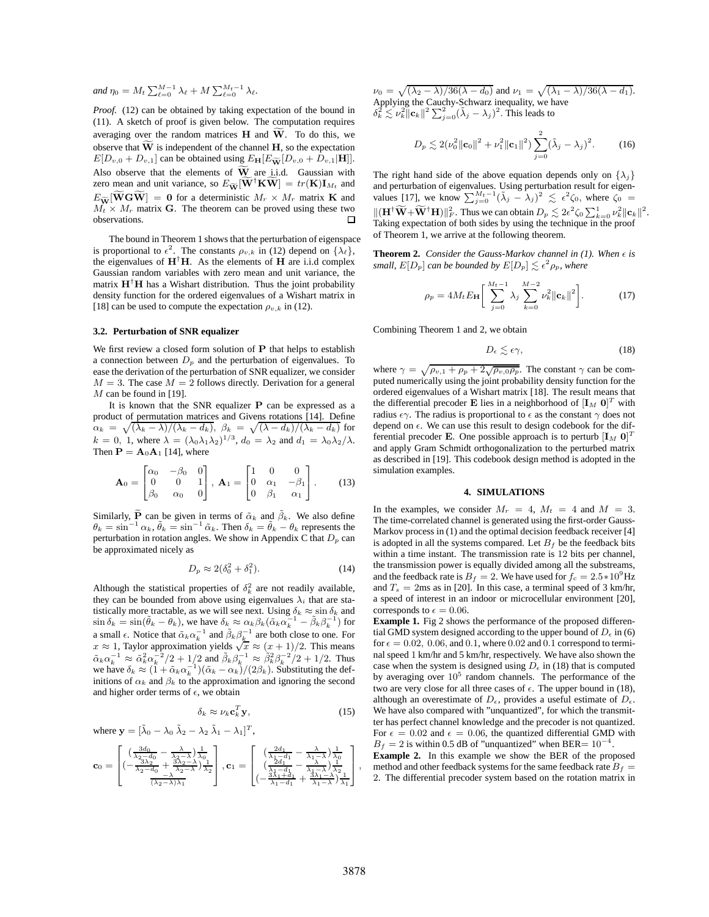*and*  $\eta_0 = M_t \sum_{\ell=0}^{M-1} \lambda_\ell + M \sum_{\ell=0}^{M_t-1} \lambda_\ell$ .

*Proof.* (12) can be obtained by taking expectation of the bound in (11). A sketch of proof is given below. The computation requires averaging over the random matrices  $H$  and  $W$ . To do this, we observe that  $\widetilde{W}$  is independent of the channel H, so the expectation  $E[D_{v,0} + D_{v,1}]$  can be obtained using  $E_{\mathbf{H}}[E_{\widetilde{\mathbf{W}}}[D_{v,0} + D_{v,1}|\mathbf{H}]]$ . Also observe that the elements of  $\widetilde{W}$  are i.i.d. Gaussian with zero mean and unit variance, so  $E_{\widetilde{W}}[\widetilde{W}^{\dagger}K\widetilde{W}] = tr(K)I_{M_t}$  and  $E_{\widetilde{\mathbf{W}}}[\widetilde{\mathbf{W}}\mathbf{G}\widetilde{\mathbf{W}}] = \mathbf{0}$  for a deterministic  $M_r \times M_r$  matrix **K** and  $M_t \times M_r$  matrix G. The theorem can be proved using these two observations.

The bound in Theorem 1 shows that the perturbation of eigenspace is proportional to  $\epsilon^2$ . The constants  $\rho_{v,k}$  in (12) depend on  $\{\lambda_\ell\}$ , the eigenvalues of  $H^{\dagger}H$ . As the elements of H are i.i.d complex Gaussian random variables with zero mean and unit variance, the matrix  $H^{\dagger}H$  has a Wishart distribution. Thus the joint probability density function for the ordered eigenvalues of a Wishart matrix in [18] can be used to compute the expectation  $\rho_{v,k}$  in (12).

# **3.2. Perturbation of SNR equalizer**

We first review a closed form solution of P that helps to establish a connection between  $D_p$  and the perturbation of eigenvalues. To ease the derivation of the perturbation of SNR equalizer, we consider  $M = 3$ . The case  $M = 2$  follows directly. Derivation for a general  $M$  can be found in [19].

It is known that the SNR equalizer P can be expressed as a product of permutation matrices and Givens rotations [14]. Define  $\alpha_k = \sqrt{(\lambda_k - \lambda)/(\lambda_k - d_k)}, \ \beta_k = \sqrt{(\lambda - d_k)/(\lambda_k - d_k)}$  for  $k = 0, 1$ , where  $\lambda = (\lambda_0 \lambda_1 \lambda_2)^{1/3}$ ,  $d_0 = \lambda_2$  and  $d_1 = \lambda_0 \lambda_2/\lambda$ . Then  $\mathbf{P} = \mathbf{A}_0 \mathbf{A}_1$  [14], where

$$
\mathbf{A}_0 = \begin{bmatrix} \alpha_0 & -\beta_0 & 0 \\ 0 & 0 & 1 \\ \beta_0 & \alpha_0 & 0 \end{bmatrix}, \ \mathbf{A}_1 = \begin{bmatrix} 1 & 0 & 0 \\ 0 & \alpha_1 & -\beta_1 \\ 0 & \beta_1 & \alpha_1 \end{bmatrix}. \tag{13}
$$

Similarly,  $\widetilde{P}$  can be given in terms of  $\tilde{\alpha}_k$  and  $\tilde{\beta}_k$ . We also define  $\theta_k = \sin^{-1} \alpha_k$ ,  $\tilde{\theta}_k = \sin^{-1} \tilde{\alpha}_k$ . Then  $\delta_k = \tilde{\theta}_k - \theta_k$  represents the perturbation in rotation angles. We show in Appendix C that  $D_p$  can be approximated nicely as

$$
D_p \approx 2(\delta_0^2 + \delta_1^2). \tag{14}
$$

Although the statistical properties of  $\delta_k^2$  are not readily available, they can be bounded from above using eigenvalues  $\lambda_i$  that are statistically more tractable, as we will see next. Using  $\delta_k \approx \sin \delta_k$  and  $\sin \delta_k = \sin(\tilde{\theta}_k - \theta_k)$ , we have  $\delta_k \approx \alpha_k \beta_k (\tilde{\alpha}_k \alpha_k^{-1} - \tilde{\beta}_k \beta_k^{-1})$  for a small  $\epsilon$ . Notice that  $\tilde{\alpha}_k \alpha_k^{-1}$  and  $\tilde{\beta}_k \beta_k^{-1}$  are both close to one. For  $x \approx 1$ , Taylor approximation yields  $\sqrt{x} \approx (x+1)/2$ . This means  $\tilde{\alpha}_k \alpha_k^{-1} \approx \tilde{\alpha}_k^2 \alpha_k^{-2} / 2 + 1/2$  and  $\tilde{\beta}_k \beta_k^{-1} \approx \tilde{\beta}_k^2 \beta_k^{-2} / 2 + 1/2$ . Thus we have  $\delta_k \approx (1 + \tilde{\alpha}_k \alpha_k^{-1})(\tilde{\alpha}_k - \alpha_k)/(2\beta_k)$ . Substituting the definitions of  $\alpha_k$  and  $\beta_k$  to the approximation and ignoring the second and higher order terms of  $\epsilon$ , we obtain

$$
\delta_k \approx \nu_k \mathbf{c}_k^T \mathbf{y},\tag{15}
$$

where 
$$
\mathbf{y} = [\tilde{\lambda}_0 - \lambda_0 \tilde{\lambda}_2 - \lambda_2 \tilde{\lambda}_1 - \lambda_1]^T
$$
,  
\n
$$
\mathbf{c}_0 = \begin{bmatrix}\n(\frac{3d_0}{\lambda_2 - d_0} - \frac{\lambda}{\lambda_2 - \lambda})\frac{1}{\lambda_0} \\
(-\frac{3\lambda_2}{\lambda_2 - d_0} + \frac{3\lambda_2 - \lambda}{\lambda_2 - \lambda})\frac{1}{\lambda_2}\n\end{bmatrix}, \mathbf{c}_1 = \begin{bmatrix}\n(\frac{2d_1}{\lambda_1 - d_1} - \frac{\lambda}{\lambda_1 - \lambda})\frac{1}{\lambda_0} \\
(\frac{2d_1}{\lambda_1 - d_1} - \frac{\lambda}{\lambda_1 - \lambda})\frac{1}{\lambda_2}\n\end{bmatrix}, \frac{1}{(\lambda_2 - \lambda)\lambda_1}
$$

 $\nu_0 = \sqrt{(\lambda_2 - \lambda)/36(\lambda - d_0)}$  and  $\nu_1 = \sqrt{(\lambda_1 - \lambda)/36(\lambda - d_1)}$ .<br>Applying the Cauchy-Schwarz inequality, we have  $\delta_k^2 \lesssim \nu_k^2 \|\mathbf{c}_k\|^2 \sum_{j=0}^2 (\tilde{\lambda}_j - \lambda_j)^2$ . This leads to

$$
D_p \lesssim 2(\nu_0^2 \|\mathbf{c}_0\|^2 + \nu_1^2 \|\mathbf{c}_1\|^2) \sum_{j=0}^2 (\tilde{\lambda}_j - \lambda_j)^2.
$$
 (16)

The right hand side of the above equation depends only on  $\{\lambda_i\}$ and perturbation of eigenvalues. Using perturbation result for eigenvalues [17], we know  $\sum_{j=0}^{M_t-1} (\tilde{\lambda}_j - \lambda_j)^2 \leq \epsilon^2 \zeta_0$ , where  $\zeta_0 =$  $\| (\mathbf{H}^\dagger \widetilde{\mathbf{W}} + \widetilde{\mathbf{W}}^\dagger \mathbf{H}) \|_F^2$ . Thus we can obtain  $D_p \lesssim 2\epsilon^2 \zeta_0 \sum_{k=0}^1 \nu_k^2 \|\mathbf{c}_k\|^2$ . Taking expectation of both sides by using the technique in the proof of Theorem 1, we arrive at the following theorem.

**Theorem 2.** *Consider the Gauss-Markov channel in (1). When*  $\epsilon$  *is* small,  $E[D_p]$  can be bounded by  $E[D_p] \lesssim \epsilon^2 \rho_p$ , where

$$
\rho_p = 4M_t E_{\mathbf{H}} \bigg[ \sum_{j=0}^{M_t - 1} \lambda_j \sum_{k=0}^{M-2} \nu_k^2 ||\mathbf{c}_k||^2 \bigg].
$$
 (17)

Combining Theorem 1 and 2, we obtain

$$
D_{\epsilon} \lesssim \epsilon \gamma,\tag{18}
$$

where  $\gamma = \sqrt{\rho_{v,1} + \rho_p + 2\sqrt{\rho_{v,0}\rho_p}}$ . The constant  $\gamma$  can be computed numerically using the joint probability density function for the ordered eigenvalues of a Wishart matrix [18]. The result means that the differential precoder **E** lies in a neighborhood of  $[I_M 0]^T$  with radius  $\epsilon \gamma$ . The radius is proportional to  $\epsilon$  as the constant  $\gamma$  does not depend on  $\epsilon$ . We can use this result to design codebook for the differential precoder E. One possible approach is to perturb  $[\mathbf{I}_M \ \mathbf{0}]^T$ and apply Gram Schmidt orthogonalization to the perturbed matrix as described in [19]. This codebook design method is adopted in the simulation examples.

#### **4. SIMULATIONS**

In the examples, we consider  $M_r = 4$ ,  $M_t = 4$  and  $M = 3$ . The time-correlated channel is generated using the first-order Gauss-Markov process in (1) and the optimal decision feedback receiver [4] is adopted in all the systems compared. Let  $B_f$  be the feedback bits within a time instant. The transmission rate is 12 bits per channel, the transmission power is equally divided among all the substreams, and the feedback rate is  $B_f = 2$ . We have used for  $f_c = 2.5 * 10^9$  Hz and  $T_s = 2$ ms as in [20]. In this case, a terminal speed of 3 km/hr, a speed of interest in an indoor or microcellular environment [20], corresponds to  $\epsilon = 0.06$ .

**Example 1.** Fig 2 shows the performance of the proposed differential GMD system designed according to the upper bound of  $D_{\epsilon}$  in (6) for  $\epsilon = 0.02$ , 0.06, and 0.1, where 0.02 and 0.1 correspond to terminal speed 1 km/hr and 5 km/hr, respectively. We have also shown the case when the system is designed using  $D_{\epsilon}$  in (18) that is computed by averaging over  $10^5$  random channels. The performance of the two are very close for all three cases of  $\epsilon$ . The upper bound in (18), although an overestimate of  $D_{\epsilon}$ , provides a useful estimate of  $D_{\epsilon}$ . We have also compared with "unquantized", for which the transmitter has perfect channel knowledge and the precoder is not quantized. For  $\epsilon = 0.02$  and  $\epsilon = 0.06$ , the quantized differential GMD with  $B_f = 2$  is within 0.5 dB of "unquantized" when BER=  $10^{-4}$ .

**Example 2.** In this example we show the BER of the proposed method and other feedback systems for the same feedback rate  $B_f$  = 2. The differential precoder system based on the rotation matrix in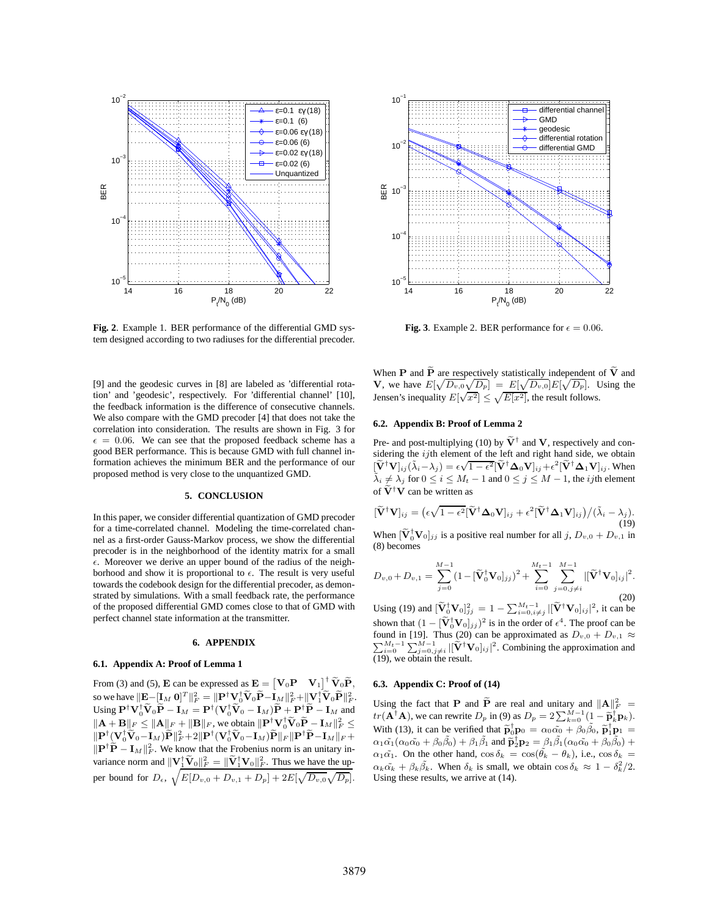

**Fig. 2**. Example 1. BER performance of the differential GMD system designed according to two radiuses for the differential precoder.

[9] and the geodesic curves in [8] are labeled as 'differential rotation' and 'geodesic', respectively. For 'differential channel' [10], the feedback information is the difference of consecutive channels. We also compare with the GMD precoder [4] that does not take the correlation into consideration. The results are shown in Fig. 3 for  $\epsilon = 0.06$ . We can see that the proposed feedback scheme has a good BER performance. This is because GMD with full channel information achieves the minimum BER and the performance of our proposed method is very close to the unquantized GMD.

# **5. CONCLUSION**

In this paper, we consider differential quantization of GMD precoder for a time-correlated channel. Modeling the time-correlated channel as a first-order Gauss-Markov process, we show the differential precoder is in the neighborhood of the identity matrix for a small  $\epsilon$ . Moreover we derive an upper bound of the radius of the neighborhood and show it is proportional to  $\epsilon$ . The result is very useful towards the codebook design for the differential precoder, as demonstrated by simulations. With a small feedback rate, the performance of the proposed differential GMD comes close to that of GMD with perfect channel state information at the transmitter.

### **6. APPENDIX**

#### **6.1. Appendix A: Proof of Lemma 1**

From (3) and (5), **E** can be expressed as  $\mathbf{E} = [\mathbf{V}_0 \mathbf{P} \quad \mathbf{V}_1]^\dagger \widetilde{\mathbf{V}}_0 \widetilde{\mathbf{P}},$ so we have  $\|\mathbf{E}-[\mathbf{I}_M \ \mathbf{0}]^T\|_F^2 = \|\mathbf{P}^\dagger \mathbf{V}_0^\dagger \widetilde{\mathbf{V}}_0 \widetilde{\mathbf{P}} - \mathbf{I}_M\|_F^2 + \|\mathbf{V}_1^\dagger \widetilde{\mathbf{V}}_0 \widetilde{\mathbf{P}}\|_F^2.$ Using  $\mathbf{P}^\dagger \mathbf{V}_0^\dagger \widetilde{\mathbf{V}}_0 \widetilde{\mathbf{P}} - \mathbf{I}_M = \mathbf{P}^\dagger (\mathbf{V}_0^\dagger \widetilde{\mathbf{V}}_0 - \mathbf{I}_M) \widetilde{\mathbf{P}} + \mathbf{P}^\dagger \widetilde{\mathbf{P}} - \mathbf{I}_M$  and  $\|\mathbf{A} + \mathbf{B}\|_F \le \|\mathbf{A}\|_F + \|\mathbf{B}\|_F$ , we obtain  $\|\mathbf{P}^\dagger \mathbf{V}_0 \widetilde{\mathbf{V}}_0 \widetilde{\mathbf{P}} - \mathbf{I}_M\|_F^2 \le$  $\|\mathbf{P}^\dagger[\mathbf{V}_0^\dagger\widetilde{\mathbf{V}}_0 - \mathbf{I}_M)\widetilde{\mathbf{P}}\|_F^2 + 2\|\mathbf{P}^\dagger(\mathbf{V}_0^\dagger\widetilde{\mathbf{V}}_0 - \mathbf{I}_M)\widetilde{\mathbf{P}}\|_F\|\mathbf{P}^\dagger\widetilde{\mathbf{P}} - \mathbf{I}_M\|_F +$  $\|\mathbf{P}^\dagger \widetilde{\mathbf{P}} - \mathbf{I}_M\|_F^2$ . We know that the Frobenius norm is an unitary invariance norm and  $\|\mathbf{V}_1^{\dagger} \widetilde{\mathbf{V}}_0\|_F^2 = \|\widetilde{\mathbf{V}}_1^{\dagger} \mathbf{V}_0\|_F^2$ . Thus we have the upper bound for  $D_{\epsilon}$ ,  $\sqrt{E[D_{v,0} + D_{v,1} + D_p] + 2E[\sqrt{D_{v,0}}\sqrt{D_p}]}$ .



**Fig. 3**. Example 2. BER performance for  $\epsilon = 0.06$ .

When P and  $\widetilde{P}$  are respectively statistically independent of  $\widetilde{V}$  and **V**, we have  $E[\sqrt{D_{v,0}}\sqrt{D_p}] = E[\sqrt{D_{v,0}}]E[\sqrt{D_p}]$ . Using the Jensen's inequality  $E[\sqrt{x^2}] \le \sqrt{E[x^2]}$ , the result follows.

## **6.2. Appendix B: Proof of Lemma 2**

Pre- and post-multiplying (10) by  $\tilde{V}^{\dagger}$  and V, respectively and considering the  $ij$ th element of the left and right hand side, we obtain  $\left[\tilde{\mathbf{V}}^{\dagger}\mathbf{V}\right]_{ij}(\tilde{\lambda}_i-\lambda_j) = \epsilon\sqrt{1-\epsilon^2} \left[\tilde{\mathbf{V}}^{\dagger}\boldsymbol{\Delta}_0\mathbf{V}\right]_{ij} + \epsilon^2 \left[\tilde{\mathbf{V}}^{\dagger}\boldsymbol{\Delta}_1\mathbf{V}\right]_{ij}$ . When  $\tilde{\lambda}_i \neq \lambda_j$  for  $0 \leq i \leq M_t - 1$  and  $0 \leq j \leq M - 1$ , the *ij*th element of  $\tilde{\mathbf{V}}^{\dagger}\tilde{\mathbf{V}}$  can be written as

$$
[\widetilde{\mathbf{V}}^{\dagger}\mathbf{V}]_{ij} = (\epsilon\sqrt{1-\epsilon^2}[\widetilde{\mathbf{V}}^{\dagger}\boldsymbol{\Delta}_0\mathbf{V}]_{ij} + \epsilon^2[\widetilde{\mathbf{V}}^{\dagger}\boldsymbol{\Delta}_1\mathbf{V}]_{ij})/(\widetilde{\lambda}_i - \lambda_j).
$$
\n(19)

When  $[\tilde{\mathbf{V}}_0^{\dagger} \mathbf{V}_0]_{jj}$  is a positive real number for all j,  $D_{v,0} + D_{v,1}$  in (8) becomes

$$
D_{v,0} + D_{v,1} = \sum_{j=0}^{M-1} (1 - [\widetilde{\mathbf{V}}_0^{\dagger} \mathbf{V}_0]_{jj})^2 + \sum_{i=0}^{M_t-1} \sum_{j=0, j \neq i}^{M-1} |[\widetilde{\mathbf{V}}^{\dagger} \mathbf{V}_0]_{ij}|^2.
$$
\n(20)

Using (19) and  $[\tilde{\mathbf{V}}_0^{\dagger} \mathbf{V}_0]_{jj}^2 = 1 - \sum_{i=0, i \neq j}^{M_t - 1} |[\tilde{\mathbf{V}}^{\dagger} \mathbf{V}_0]_{ij}|^2$ , it can be shown that  $(1 - [\tilde{V}_0^{\dagger} V_0]_{jj})^2$  is in the order of  $\epsilon^4$ . The proof can be found in [19]. Thus (20) can be approximated as  $D_{v,0} + D_{v,1} \approx \sum_{i=0}^{M_t-1} \sum_{j=0,j\neq i}^{M-1} |[\tilde{V}^{\dagger}V_0]_{ij}|^2$ . Combining the approximation and (19), we obtain the result.

## **6.3. Appendix C: Proof of (14)**

Using the fact that **P** and **P** are real and unitary and  $||A||_F^2 =$  $tr(\mathbf{A}^{\dagger} \mathbf{A}),$  we can rewrite  $D_p$  in (9) as  $D_p = 2\sum_{k=0}^{M-1} (1 - \tilde{\mathbf{p}}_k^{\dagger} \mathbf{p}_k).$ With (13), it can be verified that  $\tilde{\mathbf{p}}_0^{\dagger} \mathbf{p}_0 = \alpha_0 \tilde{\alpha_0} + \beta_0 \tilde{\beta}_0$ ,  $\tilde{\mathbf{p}}_1^{\dagger} \mathbf{p}_1 =$  $\alpha_1\tilde{\alpha_1}(\alpha_0\tilde{\alpha_0} + \beta_0\tilde{\beta_0}) + \beta_1\tilde{\beta_1}$  and  $\tilde{\mathbf{p}}_2^{\dagger}\mathbf{p}_2 = \beta_1\tilde{\beta_1}(\alpha_0\tilde{\alpha_0} + \beta_0\tilde{\beta_0}) +$  $\alpha_1\tilde{\alpha_1}$ . On the other hand,  $\cos\delta_k = \cos(\tilde{\theta_k} - \theta_k)$ , i.e.,  $\cos\delta_k =$  $\alpha_k \tilde{\alpha_k} + \beta_k \tilde{\beta_k}$ . When  $\delta_k$  is small, we obtain  $\cos \delta_k \approx 1 - \delta_k^2/2$ . Using these results, we arrive at (14).